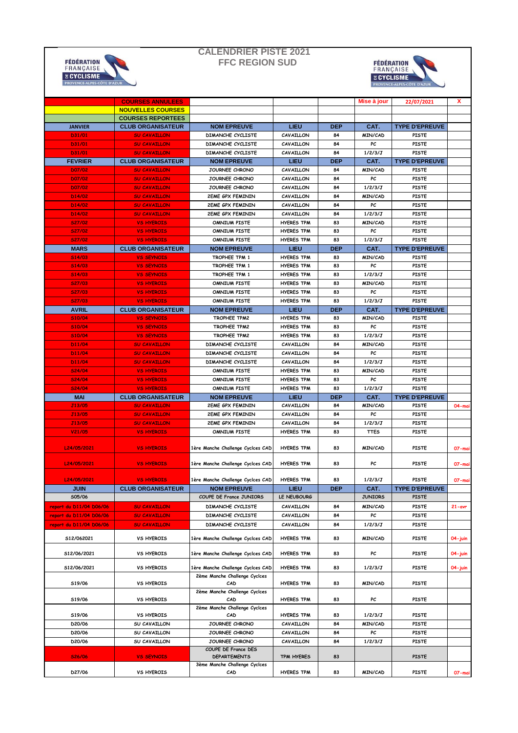## **CALENDRIER PISTE 2021 FFC REGION SUD**





|                         | <b>COURSES ANNULEES</b>  |                                            |                           |                  | Mise à jour     | 22/07/2021                            | x          |
|-------------------------|--------------------------|--------------------------------------------|---------------------------|------------------|-----------------|---------------------------------------|------------|
|                         | <b>NOUVELLES COURSES</b> |                                            |                           |                  |                 |                                       |            |
|                         | <b>COURSES REPORTEES</b> |                                            |                           |                  |                 |                                       |            |
| <b>JANVIER</b>          | <b>CLUB ORGANISATEUR</b> | <b>NOM EPREUVE</b>                         | LIEU                      | <b>DEP</b>       | CAT.            | <b>TYPE D'EPREUVE</b>                 |            |
| D31/01                  | <b>SU CAVAILLON</b>      | DIMANCHE CYCLISTE                          | CAVAILLON                 | 84               | MIN/CAD         | <b>PISTE</b>                          |            |
| D31/01                  | <b>SU CAVAILLON</b>      | DIMANCHE CYCLISTE                          | CAVAILLON                 | 84               | PC              | <b>PISTE</b>                          |            |
| D31/01                  | <b>SU CAVAILLON</b>      | <b>DIMANCHE CYCLISTE</b>                   | CAVAILLON                 | 84               | 1/2/3/J         | PISTE                                 |            |
| <b>FEVRIER</b>          | <b>CLUB ORGANISATEUR</b> | <b>NOM EPREUVE</b>                         | LIEU                      | <b>DEP</b>       | CAT.            | <b>TYPE D'EPREUVE</b>                 |            |
| <b>D07/02</b>           | <b>SU CAVAILLON</b>      | JOURNEE CHRONO                             | CAVAILLON                 | 84               | MIN/CAD         | <b>PISTE</b>                          |            |
| <b>DO7/02</b>           | <b>SU CAVAILLON</b>      | JOURNEE CHRONO                             | CAVAILLON                 | 84               | PC              | <b>PISTE</b>                          |            |
| <b>D07/02</b>           | <b>SU CAVAILLON</b>      | JOURNEE CHRONO                             | CAVAILLON                 | 84               | 1/2/3/J         | <b>PISTE</b>                          |            |
| D14/02                  | <b>SU CAVAILLON</b>      | <b>2EME GPX FEMININ</b>                    | CAVAILLON                 | 84               | MIN/CAD         | <b>PISTE</b>                          |            |
| D14/02                  | <b>SU CAVAILLON</b>      | <b>2EME GPX FEMININ</b>                    | CAVAILLON                 | 84               | PC              | PISTE                                 |            |
| D14/02                  | <b>SU CAVAILLON</b>      | <b>2EME GPX FEMININ</b>                    | CAVAILLON                 | 84               | 1/2/3/J         | PISTE                                 |            |
| <b>S27/02</b>           | <b>VS HYEROIS</b>        | <b>OMNIUM PISTE</b>                        | <b>HYERES TPM</b>         | 83               | <b>MIN/CAD</b>  | <b>PISTE</b>                          |            |
| <b>S27/02</b>           | <b>VS HYEROIS</b>        | <b>OMNIUM PISTE</b>                        | <b>HYERES TPM</b>         | 83               | PC              | PISTE                                 |            |
| <b>S27/02</b>           | <b>VS HYEROIS</b>        | <b>OMNIUM PISTE</b>                        | <b>HYERES TPM</b>         | 83               | 1/2/3/J         | <b>PISTE</b>                          |            |
| <b>MARS</b>             | <b>CLUB ORGANISATEUR</b> | <b>NOM EPREUVE</b>                         | LIEU                      | <b>DEP</b>       | CAT.            | <b>TYPE D'EPREUVE</b>                 |            |
| <b>S14/03</b>           | <b>VS SEYNOIS</b>        | TROPHEE TPM 1                              | <b>HYERES TPM</b>         | 83               | <b>MIN/CAD</b>  | <b>PISTE</b>                          |            |
| <b>S14/03</b>           | <b>VS SEYNOIS</b>        | TROPHEE TPM 1                              | <b>HYERES TPM</b>         | 83               | PC              | PISTE                                 |            |
| <b>S14/03</b>           | <b>VS SEYNOIS</b>        | TROPHEE TPM 1                              | <b>HYERES TPM</b>         | 83               | 1/2/3/J         | PISTE                                 |            |
| <b>S27/03</b>           | <b>VS HYEROIS</b>        | <b>OMNIUM PISTE</b>                        | <b>HYERES TPM</b>         | 83               | MIN/CAD         | PISTE                                 |            |
| <b>S27/03</b>           | <b>VS HYEROIS</b>        | <b>OMNIUM PISTE</b>                        | <b>HYERES TPM</b>         | 83               | PC              | <b>PISTE</b>                          |            |
|                         |                          | <b>OMNIUM PISTE</b>                        | <b>HYERES TPM</b>         | 83               | 1/2/3/J         | PISTE                                 |            |
| <b>S27/03</b>           | <b>VS HYEROIS</b>        |                                            |                           |                  |                 |                                       |            |
| <b>AVRIL</b>            | <b>CLUB ORGANISATEUR</b> | <b>NOM EPREUVE</b><br>TROPHEE TPM2         | LIEU<br><b>HYERES TPM</b> | <b>DEP</b><br>83 | CAT.<br>MIN/CAD | <b>TYPE D'EPREUVE</b><br><b>PISTE</b> |            |
| <b>S10/04</b>           | <b>VS SEYNOIS</b>        |                                            |                           |                  | PC              |                                       |            |
| <b>S10/04</b>           | <b>VS SEYNOIS</b>        | TROPHEE TPM2                               | <b>HYERES TPM</b>         | 83               |                 | <b>PISTE</b>                          |            |
| <b>S10/04</b>           | <b>VS SEYNOIS</b>        | TROPHEE TPM2                               | <b>HYERES TPM</b>         | 83               | 1/2/3/J         | PISTE                                 |            |
| D11/04                  | <b>SU CAVAILLON</b>      | <b>DIMANCHE CYCLISTE</b>                   | CAVAILLON                 | 84               | MIN/CAD         | <b>PISTE</b>                          |            |
| D11/04                  | <b>SU CAVAILLON</b>      | DIMANCHE CYCLISTE                          | CAVAILLON                 | 84               | PC              | PISTE                                 |            |
| D11/04                  | <b>SU CAVAILLON</b>      | DIMANCHE CYCLISTE                          | CAVAILLON                 | 84               | 1/2/3/J         | PISTE                                 |            |
| <b>S24/04</b>           | <b>VS HYEROIS</b>        | <b>OMNIUM PISTE</b>                        | <b>HYERES TPM</b>         | 83               | <b>MIN/CAD</b>  | <b>PISTE</b>                          |            |
| <b>S24/04</b>           | <b>VS HYEROIS</b>        | <b>OMNIUM PISTE</b>                        | <b>HYERES TPM</b>         | 83               | PC              | PISTE                                 |            |
|                         |                          |                                            |                           |                  |                 |                                       |            |
| <b>S24/04</b>           | <b>VS HYEROIS</b>        | <b>OMNIUM PISTE</b>                        | <b>HYERES TPM</b>         | 83               | 1/2/3/J         | PISTE                                 |            |
| <b>MAI</b>              | <b>CLUB ORGANISATEUR</b> | <b>NOM EPREUVE</b>                         | LIEU                      | <b>DEP</b>       | CAT.            | <b>TYPE D'EPREUVE</b>                 |            |
| <b>J13/05</b>           | <b>SU CAVAILLON</b>      | <b>2EME GPX FEMININ</b>                    | CAVAILLON                 | 84               | MIN/CAD         | PISTE                                 | 04-mai     |
| <b>J13/05</b>           | <b>SU CAVAILLON</b>      | <b>2EME GPX FEMININ</b>                    | CAVAILLON                 | 84               | PC              | <b>PISTE</b>                          |            |
| <b>J13/05</b>           | <b>SU CAVAILLON</b>      | <b>2EME GPX FEMININ</b>                    | CAVAILLON                 | 84               | 1/2/3/J         | <b>PISTE</b>                          |            |
| V21/05                  | <b>VS HYEROIS</b>        | <b>OMNIUM PISTE</b>                        | <b>HYERES TPM</b>         | 83               | <b>TTES</b>     | PISTE                                 |            |
|                         |                          |                                            |                           |                  |                 |                                       |            |
| L24/05/2021             | <b>VS HYEROIS</b>        | 1ère Manche Challenge Cyclces CAD          | <b>HYERES TPM</b>         | 83               | MIN/CAD         | <b>PISTE</b>                          | 07-mai     |
|                         |                          |                                            |                           |                  |                 |                                       |            |
| L24/05/2021             | <b>VS HYEROIS</b>        | 1ère Manche Challenge Cyclces CAD          | <b>HYERES TPM</b>         | 83               | PC              | PISTE                                 | 07-mai     |
|                         |                          |                                            |                           |                  |                 |                                       |            |
| L24/05/2021             | <b>VS HYEROIS</b>        | 1ère Manche Challenge Cyclces CAD          | <b>HYERES TPM</b>         | 83               | 1/2/3/J         | <b>PISTE</b>                          | 07-mai     |
| <b>JUIN</b>             | <b>CLUB ORGANISATEUR</b> | <b>NOM EPREUVE</b>                         | <b>LIEU</b>               | <b>DEP</b>       | CAT.            | <b>TYPE D'EPREUVE</b>                 |            |
| S05/06                  |                          | COUPE DE France JUNIORS                    | LE NEUBOURG               |                  | <b>JUNIORS</b>  | <b>PISTE</b>                          |            |
| report du D11/04 D06/06 | <b>SU CAVAILLON</b>      | <b>DIMANCHE CYCLISTE</b>                   | CAVAILLON                 | 84               | <b>MIN/CAD</b>  | <b>PISTE</b>                          | $21 - avr$ |
| report du D11/04 D06/06 | <b>SU CAVAILLON</b>      | DIMANCHE CYCLISTE                          | CAVAILLON                 | 84               | PC              | <b>PISTE</b>                          |            |
| report du D11/04 D06/06 | <b>SU CAVAILLON</b>      | DIMANCHE CYCLISTE                          | CAVAILLON                 | 84               | 1/2/3/J         | <b>PISTE</b>                          |            |
|                         |                          |                                            |                           |                  |                 |                                       |            |
| 512/062021              | <b>VS HYEROIS</b>        | 1ère Manche Challenge Cyclces CAD          | <b>HYERES TPM</b>         | 83               | MIN/CAD         | <b>PISTE</b>                          | 04-juin    |
| S12/06/2021             | <b>VS HYEROIS</b>        | 1ère Manche Challenge Cyclces CAD          | <b>HYERES TPM</b>         | 83               | PC              | <b>PISTE</b>                          | 04-juin    |
|                         |                          |                                            |                           |                  |                 |                                       |            |
| 512/06/2021             | <b>VS HYEROIS</b>        | 1ère Manche Challenge Cyclces CAD          | <b>HYERES TPM</b>         | 83               | 1/2/3/J         | <b>PISTE</b>                          | 04-juin    |
|                         |                          | 2ème Manche Challenge Cyclces              |                           |                  |                 |                                       |            |
| S19/06                  | <b>VS HYEROIS</b>        | CAD                                        | <b>HYERES TPM</b>         | 83               | <b>MIN/CAD</b>  | <b>PISTE</b>                          |            |
|                         |                          | 2ème Manche Challenge Cyclces              |                           |                  |                 |                                       |            |
| S19/06                  | <b>VS HYEROIS</b>        | CAD                                        | <b>HYERES TPM</b>         | 83               | PC              | <b>PISTE</b>                          |            |
|                         |                          | 2ème Manche Challenge Cyclces              |                           |                  |                 |                                       |            |
| S19/06                  | <b>VS HYEROIS</b>        | CAD                                        | <b>HYERES TPM</b>         | 83               | 1/2/3/J         | <b>PISTE</b>                          |            |
| D20/06                  | SU CAVAILLON             | JOURNEE CHRONO                             | CAVAILLON                 | 84               | <b>MIN/CAD</b>  | PISTE                                 |            |
| D20/06                  | SU CAVAILLON             | JOURNEE CHRONO                             | CAVAILLON                 | 84               | PC              | <b>PISTE</b>                          |            |
| D20/06                  | SU CAVAILLON             | JOURNEE CHRONO                             | CAVAILLON                 | 84               | 1/2/3/J         | <b>PISTE</b>                          |            |
| <b>S26/06</b>           | <b>VS SEYNOIS</b>        | COUPE DE France DES<br><b>DEPARTEMENTS</b> | TPM HYERES                | 83               |                 | <b>PISTE</b>                          |            |
|                         |                          | 3ème Manche Challenge Cyclces              |                           |                  |                 |                                       |            |